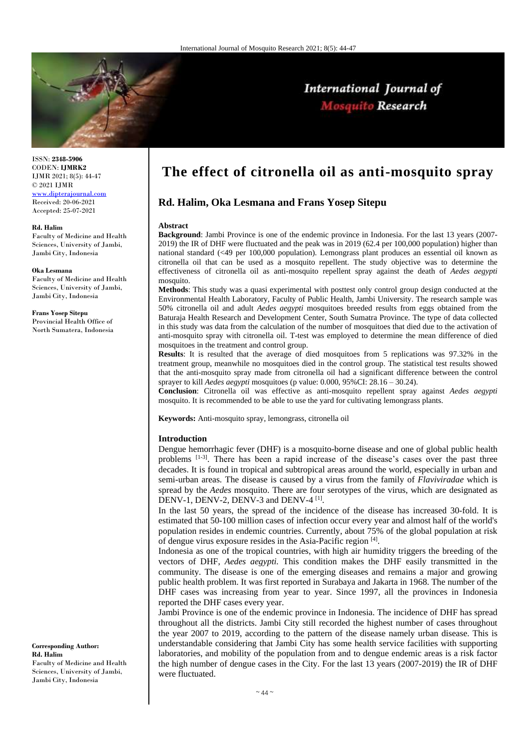

ISSN: **2348-5906** CODEN: **IJMRK2** IJMR 2021; 8(5): 44-47 © 2021 IJMR [www.dipterajournal.com](file://server/d/Mosquito/Issue/8%20Volume/www.dipterajournal.com)

Received: 20-06-2021 Accepted: 25-07-2021

#### **Rd. Halim**

Faculty of Medicine and Health Sciences, University of Jambi, Jambi City, Indonesia

#### **Oka Lesmana**

Faculty of Medicine and Health Sciences, University of Jambi, Jambi City, Indonesia

#### **Frans Yosep Sitepu**

Provincial Health Office of North Sumatera, Indonesia

**Corresponding Author: Rd. Halim** Faculty of Medicine and Health Sciences, University of Jambi,

Jambi City, Indonesia

# **The effect of citronella oil as anti-mosquito spray**

# **Rd. Halim, Oka Lesmana and Frans Yosep Sitepu**

#### **Abstract**

**Background**: Jambi Province is one of the endemic province in Indonesia. For the last 13 years (2007- 2019) the IR of DHF were fluctuated and the peak was in 2019 (62.4 per 100,000 population) higher than national standard (<49 per 100,000 population). Lemongrass plant produces an essential oil known as citronella oil that can be used as a mosquito repellent. The study objective was to determine the effectiveness of citronella oil as anti-mosquito repellent spray against the death of *Aedes aegypti* mosquito

**Methods**: This study was a quasi experimental with posttest only control group design conducted at the Environmental Health Laboratory, Faculty of Public Health, Jambi University. The research sample was 50% citronella oil and adult *Aedes aegypti* mosquitoes breeded results from eggs obtained from the Baturaja Health Research and Development Center, South Sumatra Province. The type of data collected in this study was data from the calculation of the number of mosquitoes that died due to the activation of anti-mosquito spray with citronella oil. T-test was employed to determine the mean difference of died mosquitoes in the treatment and control group.

**Results**: It is resulted that the average of died mosquitoes from 5 replications was 97.32% in the treatment group, meanwhile no mosquitoes died in the control group. The statistical test results showed that the anti-mosquito spray made from citronella oil had a significant difference between the control sprayer to kill *Aedes aegypti* mosquitoes (p value: 0.000, 95%CI: 28.16 – 30.24).

**Conclusion**: Citronella oil was effective as anti-mosquito repellent spray against *Aedes aegypti* mosquito. It is recommended to be able to use the yard for cultivating lemongrass plants.

**Keywords:** Anti-mosquito spray, lemongrass, citronella oil

#### **Introduction**

Dengue hemorrhagic fever (DHF) is a mosquito-borne disease and one of global public health problems [1-3]. There has been a rapid increase of the disease's cases over the past three decades. It is found in tropical and subtropical areas around the world, especially in urban and semi-urban areas. The disease is caused by a virus from the family of *Flaviviradae* which is spread by the *Aedes* mosquito. There are four serotypes of the virus, which are designated as DENV-1, DENV-2, DENV-3 and DENV-4<sup>[1]</sup>.

In the last 50 years, the spread of the incidence of the disease has increased 30-fold. It is estimated that 50-100 million cases of infection occur every year and almost half of the world's population resides in endemic countries. Currently, about 75% of the global population at risk of dengue virus exposure resides in the Asia-Pacific region [4].

Indonesia as one of the tropical countries, with high air humidity triggers the breeding of the vectors of DHF, *Aedes aegypti.* This condition makes the DHF easily transmitted in the community. The disease is one of the emerging diseases and remains a major and growing public health problem. It was first reported in Surabaya and Jakarta in 1968. The number of the DHF cases was increasing from year to year. Since 1997, all the provinces in Indonesia reported the DHF cases every year.

Jambi Province is one of the endemic province in Indonesia. The incidence of DHF has spread throughout all the districts. Jambi City still recorded the highest number of cases throughout the year 2007 to 2019, according to the pattern of the disease namely urban disease. This is understandable considering that Jambi City has some health service facilities with supporting laboratories, and mobility of the population from and to dengue endemic areas is a risk factor the high number of dengue cases in the City. For the last 13 years (2007-2019) the IR of DHF were fluctuated.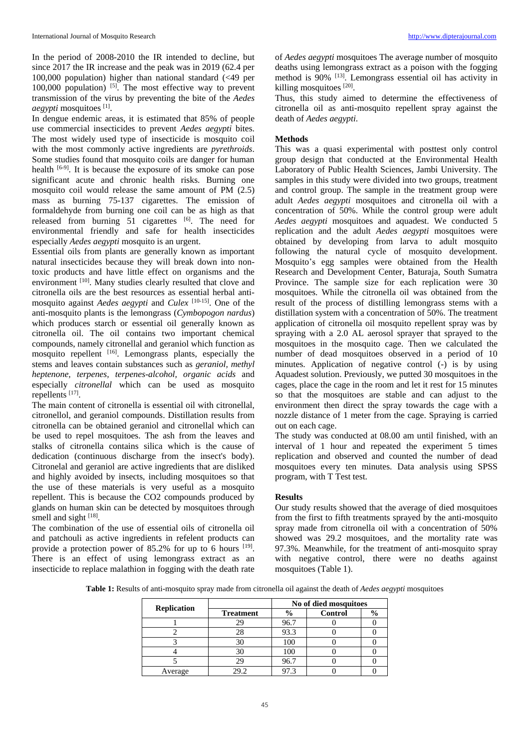In the period of 2008-2010 the IR intended to decline, but since 2017 the IR increase and the peak was in 2019 (62.4 per 100,000 population) higher than national standard (<49 per 100,000 population)  $[5]$ . The most effective way to prevent transmission of the virus by preventing the bite of the *Aedes aegypti* mosquitoes [1] .

In dengue endemic areas, it is estimated that 85% of people use commercial insecticides to prevent *Aedes aegypti* bites. The most widely used type of insecticide is mosquito coil with the most commonly active ingredients are *pyrethroids*. Some studies found that mosquito coils are danger for human health  $[6-9]$ . It is because the exposure of its smoke can pose significant acute and chronic health risks. Burning one mosquito coil would release the same amount of PM (2.5) mass as burning 75-137 cigarettes. The emission of formaldehyde from burning one coil can be as high as that released from burning  $51$  cigarettes  $[6]$ . The need for environmental friendly and safe for health insecticides especially *Aedes aegypti* mosquito is an urgent.

Essential oils from plants are generally known as important natural insecticides because they will break down into nontoxic products and have little effect on organisms and the environment [10]. Many studies clearly resulted that clove and citronella oils are the best resources as essential herbal antimosquito against *Aedes aegypti* and *Culex* [10-15] . One of the anti-mosquito plants is the lemongrass (*Cymbopogon nardus*) which produces starch or essential oil generally known as citronella oil. The oil contains two important chemical compounds, namely citronellal and geraniol which function as mosquito repellent <sup>[16]</sup>. Lemongrass plants, especially the stems and leaves contain substances such as *geraniol, methyl heptenone, terpenes, terpenes-alcohol, organic acids* and especially *citronellal* which can be used as mosquito repellents<sup>[17]</sup>.

The main content of citronella is essential oil with citronellal, citronellol, and geraniol compounds. Distillation results from citronella can be obtained geraniol and citronellal which can be used to repel mosquitoes. The ash from the leaves and stalks of citronella contains silica which is the cause of dedication (continuous discharge from the insect's body). Citronelal and geraniol are active ingredients that are disliked and highly avoided by insects, including mosquitoes so that the use of these materials is very useful as a mosquito repellent. This is because the CO2 compounds produced by glands on human skin can be detected by mosquitoes through smell and sight [18].

The combination of the use of essential oils of citronella oil and patchouli as active ingredients in refelent products can provide a protection power of 85.2% for up to 6 hours <sup>[19]</sup>. There is an effect of using lemongrass extract as an insecticide to replace malathion in fogging with the death rate of *Aedes aegypti* mosquitoes The average number of mosquito deaths using lemongrass extract as a poison with the fogging method is 90% <sup>[13]</sup>. Lemongrass essential oil has activity in killing mosquitoes [20].

Thus, this study aimed to determine the effectiveness of citronella oil as anti-mosquito repellent spray against the death of *Aedes aegypti*.

## **Methods**

This was a quasi experimental with posttest only control group design that conducted at the Environmental Health Laboratory of Public Health Sciences, Jambi University. The samples in this study were divided into two groups, treatment and control group. The sample in the treatment group were adult *Aedes aegypti* mosquitoes and citronella oil with a concentration of 50%. While the control group were adult *Aedes aegypti* mosquitoes and aquadest. We conducted 5 replication and the adult *Aedes aegypti* mosquitoes were obtained by developing from larva to adult mosquito following the natural cycle of mosquito development. Mosquito's egg samples were obtained from the Health Research and Development Center, Baturaja, South Sumatra Province. The sample size for each replication were 30 mosquitoes. While the citronella oil was obtained from the result of the process of distilling lemongrass stems with a distillation system with a concentration of 50%. The treatment application of citronella oil mosquito repellent spray was by spraying with a 2.0 AL aerosol sprayer that sprayed to the mosquitoes in the mosquito cage. Then we calculated the number of dead mosquitoes observed in a period of 10 minutes. Application of negative control (-) is by using Aquadest solution. Previously, we putted 30 mosquitoes in the cages, place the cage in the room and let it rest for 15 minutes so that the mosquitoes are stable and can adjust to the environment then direct the spray towards the cage with a nozzle distance of 1 meter from the cage. Spraying is carried out on each cage.

The study was conducted at 08.00 am until finished, with an interval of 1 hour and repeated the experiment 5 times replication and observed and counted the number of dead mosquitoes every ten minutes. Data analysis using SPSS program, with T Test test.

## **Results**

Our study results showed that the average of died mosquitoes from the first to fifth treatments sprayed by the anti-mosquito spray made from citronella oil with a concentration of 50% showed was 29.2 mosquitoes, and the mortality rate was 97.3%. Meanwhile, for the treatment of anti-mosquito spray with negative control, there were no deaths against mosquitoes (Table 1).

**Table 1:** Results of anti-mosquito spray made from citronella oil against the death of *Aedes aegypti* mosquitoes

|                    |                  | No of died mosquitoes |                |               |
|--------------------|------------------|-----------------------|----------------|---------------|
| <b>Replication</b> | <b>Treatment</b> | $\frac{6}{10}$        | <b>Control</b> | $\frac{6}{9}$ |
|                    | 29               | 96.7                  |                |               |
|                    | 28               | 93.3                  |                |               |
|                    | 30               | 100                   |                |               |
|                    | 30               | 100                   |                |               |
|                    | 29               | 96.7                  |                |               |
| Average            | 29.2             | 97.3                  |                |               |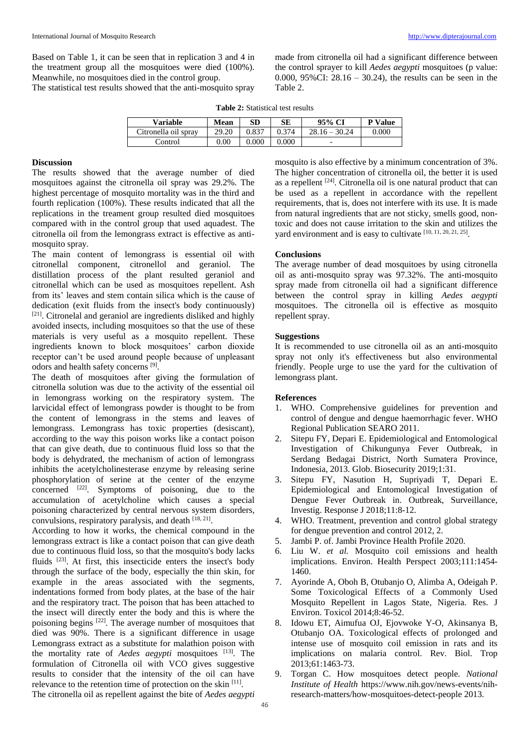Based on Table 1, it can be seen that in replication 3 and 4 in the treatment group all the mosquitoes were died (100%). Meanwhile, no mosquitoes died in the control group.

The statistical test results showed that the anti-mosquito spray

made from citronella oil had a significant difference between the control sprayer to kill *Aedes aegypti* mosquitoes (p value: 0.000, 95%CI: 28.16 – 30.24), the results can be seen in the Table 2.

|  |  | <b>Table 2:</b> Statistical test results |
|--|--|------------------------------------------|
|--|--|------------------------------------------|

| Variable             | Mean  | SD    | SЕ    | 95% CI            | <b>P</b> Value |
|----------------------|-------|-------|-------|-------------------|----------------|
| Citronella oil spray | 29.20 | 0.837 | 0.374 | 28.16<br>$-30.24$ | 0.000          |
| Control              | .00   | .000  | ገ.000 | -                 |                |

## **Discussion**

The results showed that the average number of died mosquitoes against the citronella oil spray was 29.2%. The highest percentage of mosquito mortality was in the third and fourth replication (100%). These results indicated that all the replications in the treament group resulted died mosquitoes compared with in the control group that used aquadest. The citronella oil from the lemongrass extract is effective as antimosquito spray.

The main content of lemongrass is essential oil with citronellal component, citronellol and geraniol. The distillation process of the plant resulted geraniol and citronellal which can be used as mosquitoes repellent. Ash from its' leaves and stem contain silica which is the cause of dedication (exit fluids from the insect's body continuously) [21]. Citronelal and geraniol are ingredients disliked and highly avoided insects, including mosquitoes so that the use of these materials is very useful as a mosquito repellent. These ingredients known to block mosquitoes' carbon dioxide receptor can't be used around people because of unpleasant odors and health safety concerns [9].

The death of mosquitoes after giving the formulation of citronella solution was due to the activity of the essential oil in lemongrass working on the respiratory system. The larvicidal effect of lemongrass powder is thought to be from the content of lemongrass in the stems and leaves of lemongrass. Lemongrass has toxic properties (desiscant), according to the way this poison works like a contact poison that can give death, due to continuous fluid loss so that the body is dehydrated, the mechanism of action of lemongrass inhibits the acetylcholinesterase enzyme by releasing serine phosphorylation of serine at the center of the enzyme concerned  $[22]$ . Symptoms of poisoning, due to the accumulation of acetylcholine which causes a special poisoning characterized by central nervous system disorders, convulsions, respiratory paralysis, and death [18, 21].

According to how it works, the chemical compound in the lemongrass extract is like a contact poison that can give death due to continuous fluid loss, so that the mosquito's body lacks fluids <sup>[23]</sup>. At first, this insecticide enters the insect's body through the surface of the body, especially the thin skin, for example in the areas associated with the segments, indentations formed from body plates, at the base of the hair and the respiratory tract. The poison that has been attached to the insect will directly enter the body and this is where the poisoning begins <sup>[22]</sup>. The average number of mosquitoes that died was 90%. There is a significant difference in usage Lemongrass extract as a substitute for malathion poison with the mortality rate of *Aedes aegypti* mosquitoes [13] . The formulation of Citronella oil with VCO gives suggestive results to consider that the intensity of the oil can have relevance to the retention time of protection on the skin [11]. The citronella oil as repellent against the bite of *Aedes aegypti*

mosquito is also effective by a minimum concentration of 3%. The higher concentration of citronella oil, the better it is used as a repellent  $[24]$ . Citronella oil is one natural product that can be used as a repellent in accordance with the repellent requirements, that is, does not interfere with its use. It is made from natural ingredients that are not sticky, smells good, nontoxic and does not cause irritation to the skin and utilizes the yard environment and is easy to cultivate [10, 11, 20, 21, 25].

## **Conclusions**

The average number of dead mosquitoes by using citronella oil as anti-mosquito spray was 97.32%. The anti-mosquito spray made from citronella oil had a significant difference between the control spray in killing *Aedes aegypti* mosquitoes. The citronella oil is effective as mosquito repellent spray.

## **Suggestions**

It is recommended to use citronella oil as an anti-mosquito spray not only it's effectiveness but also environmental friendly. People urge to use the yard for the cultivation of lemongrass plant.

## **References**

- 1. WHO. Comprehensive guidelines for prevention and control of dengue and dengue haemorrhagic fever. WHO Regional Publication SEARO 2011.
- 2. Sitepu FY, Depari E. Epidemiological and Entomological Investigation of Chikungunya Fever Outbreak, in Serdang Bedagai District, North Sumatera Province, Indonesia, 2013. Glob. Biosecurity 2019;1:31.
- 3. Sitepu FY, Nasution H, Supriyadi T, Depari E. Epidemiological and Entomological Investigation of Dengue Fever Outbreak in. Outbreak, Surveillance, Investig. Response J 2018;11:8-12.
- 4. WHO. Treatment, prevention and control global strategy for dengue prevention and control 2012, 2.
- 5. Jambi P. of. Jambi Province Health Profile 2020.
- 6. Liu W. *et al.* Mosquito coil emissions and health implications. Environ. Health Perspect 2003;111:1454- 1460.
- 7. Ayorinde A, Oboh B, Otubanjo O, Alimba A, Odeigah P. Some Toxicological Effects of a Commonly Used Mosquito Repellent in Lagos State, Nigeria. Res. J Environ. Toxicol 2014;8:46-52.
- 8. Idowu ET, Aimufua OJ, Ejovwoke Y-O, Akinsanya B, Otubanjo OA. Toxicological effects of prolonged and intense use of mosquito coil emission in rats and its implications on malaria control. Rev. Biol. Trop 2013;61:1463-73.
- 9. Torgan C. How mosquitoes detect people. *National Institute of Health* https://www.nih.gov/news-events/nihresearch-matters/how-mosquitoes-detect-people 2013.